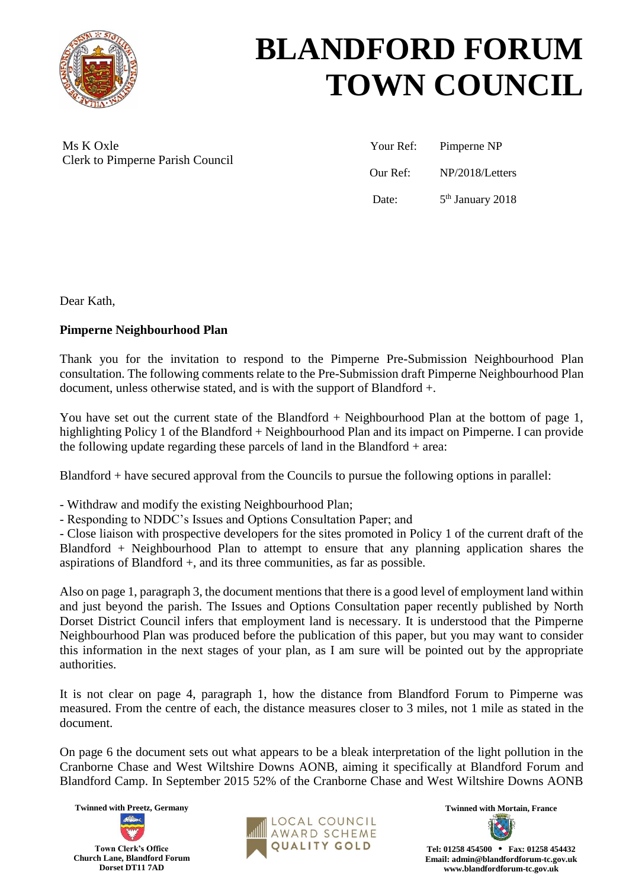

## **BLANDFORD FORUM TOWN COUNCIL**

Ms K Oxle Clerk to Pimperne Parish Council

| Your Ref: | Pimperne NP        |
|-----------|--------------------|
| Our Ref:  | NP/2018/Letters    |
| Date:     | $5th$ January 2018 |

Dear Kath,

## **Pimperne Neighbourhood Plan**

Thank you for the invitation to respond to the Pimperne Pre-Submission Neighbourhood Plan consultation. The following comments relate to the Pre-Submission draft Pimperne Neighbourhood Plan document, unless otherwise stated, and is with the support of Blandford +.

You have set out the current state of the Blandford + Neighbourhood Plan at the bottom of page 1, highlighting Policy 1 of the Blandford + Neighbourhood Plan and its impact on Pimperne. I can provide the following update regarding these parcels of land in the Blandford + area:

Blandford + have secured approval from the Councils to pursue the following options in parallel:

- Withdraw and modify the existing Neighbourhood Plan;

- Responding to NDDC's Issues and Options Consultation Paper; and

- Close liaison with prospective developers for the sites promoted in Policy 1 of the current draft of the Blandford + Neighbourhood Plan to attempt to ensure that any planning application shares the aspirations of Blandford +, and its three communities, as far as possible.

Also on page 1, paragraph 3, the document mentions that there is a good level of employment land within and just beyond the parish. The Issues and Options Consultation paper recently published by North Dorset District Council infers that employment land is necessary. It is understood that the Pimperne Neighbourhood Plan was produced before the publication of this paper, but you may want to consider this information in the next stages of your plan, as I am sure will be pointed out by the appropriate authorities.

It is not clear on page 4, paragraph 1, how the distance from Blandford Forum to Pimperne was measured. From the centre of each, the distance measures closer to 3 miles, not 1 mile as stated in the document.

On page 6 the document sets out what appears to be a bleak interpretation of the light pollution in the Cranborne Chase and West Wiltshire Downs AONB, aiming it specifically at Blandford Forum and Blandford Camp. In September 2015 52% of the Cranborne Chase and West Wiltshire Downs AONB





**Tel: 01258 454500 • Fax: 01258 454432 Email: admin@blandfordforum-tc.gov.uk www.blandfordforum-tc.gov.uk**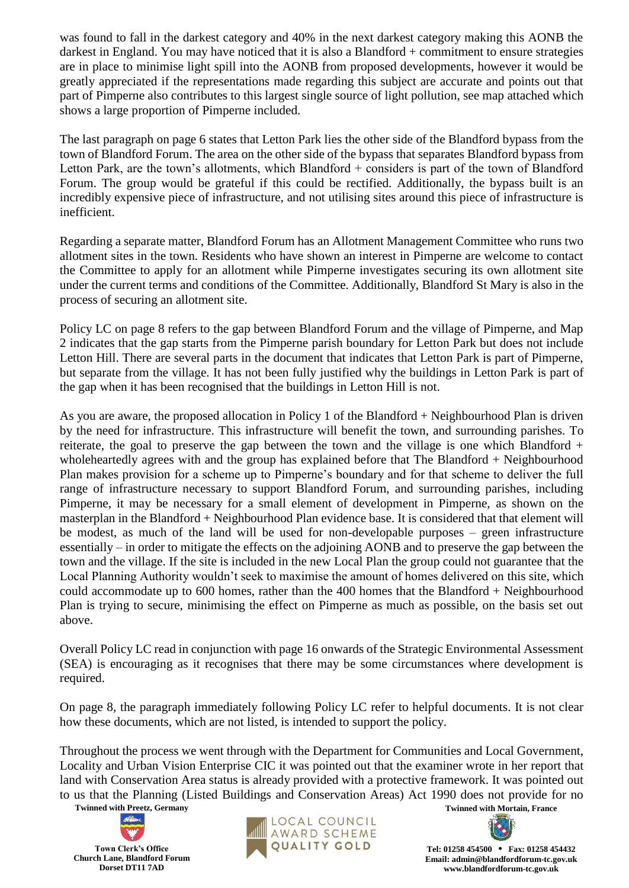was found to fall in the darkest category and 40% in the next darkest category making this AONB the darkest in England. You may have noticed that it is also a Blandford + commitment to ensure strategies are in place to minimise light spill into the AONB from proposed developments, however it would be greatly appreciated if the representations made regarding this subject are accurate and points out that part of Pimperne also contributes to this largest single source of light pollution, see map attached which shows a large proportion of Pimperne included.

The last paragraph on page 6 states that Letton Park lies the other side of the Blandford bypass from the town of Blandford Forum. The area on the other side of the bypass that separates Blandford bypass from Letton Park, are the town's allotments, which Blandford + considers is part of the town of Blandford Forum. The group would be grateful if this could be rectified. Additionally, the bypass built is an incredibly expensive piece of infrastructure, and not utilising sites around this piece of infrastructure is inefficient.

Regarding a separate matter, Blandford Forum has an Allotment Management Committee who runs two allotment sites in the town. Residents who have shown an interest in Pimperne are welcome to contact the Committee to apply for an allotment while Pimperne investigates securing its own allotment site under the current terms and conditions of the Committee. Additionally, Blandford St Mary is also in the process of securing an allotment site.

Policy LC on page 8 refers to the gap between Blandford Forum and the village of Pimperne, and Map 2 indicates that the gap starts from the Pimperne parish boundary for Letton Park but does not include Letton Hill. There are several parts in the document that indicates that Letton Park is part of Pimperne, but separate from the village. It has not been fully justified why the buildings in Letton Park is part of the gap when it has been recognised that the buildings in Letton Hill is not.

As you are aware, the proposed allocation in Policy 1 of the Blandford + Neighbourhood Plan is driven by the need for infrastructure. This infrastructure will benefit the town, and surrounding parishes. To reiterate, the goal to preserve the gap between the town and the village is one which Blandford  $+$ wholeheartedly agrees with and the group has explained before that The Blandford + Neighbourhood Plan makes provision for a scheme up to Pimperne's boundary and for that scheme to deliver the full range of infrastructure necessary to support Blandford Forum, and surrounding parishes, including Pimperne, it may be necessary for a small element of development in Pimperne, as shown on the masterplan in the Blandford + Neighbourhood Plan evidence base. It is considered that that element will be modest, as much of the land will be used for non-developable purposes – green infrastructure essentially – in order to mitigate the effects on the adjoining AONB and to preserve the gap between the town and the village. If the site is included in the new Local Plan the group could not guarantee that the Local Planning Authority wouldn't seek to maximise the amount of homes delivered on this site, which could accommodate up to 600 homes, rather than the 400 homes that the Blandford + Neighbourhood Plan is trying to secure, minimising the effect on Pimperne as much as possible, on the basis set out above.

Overall Policy LC read in conjunction with page 16 onwards of the Strategic Environmental Assessment (SEA) is encouraging as it recognises that there may be some circumstances where development is required.

On page 8, the paragraph immediately following Policy LC refer to helpful documents. It is not clear how these documents, which are not listed, is intended to support the policy.

Throughout the process we went through with the Department for Communities and Local Government, Locality and Urban Vision Enterprise CIC it was pointed out that the examiner wrote in her report that land with Conservation Area status is already provided with a protective framework. It was pointed out to us that the Planning (Listed Buildings and Conservation Areas) Act 1990 does not provide for no

**Twinned with Preetz, Germany Twinned with Mortain, France**





**Tel: 01258 454500 • Fax: 01258 454432 Email: admin@blandfordforum-tc.gov.uk www.blandfordforum-tc.gov.uk**